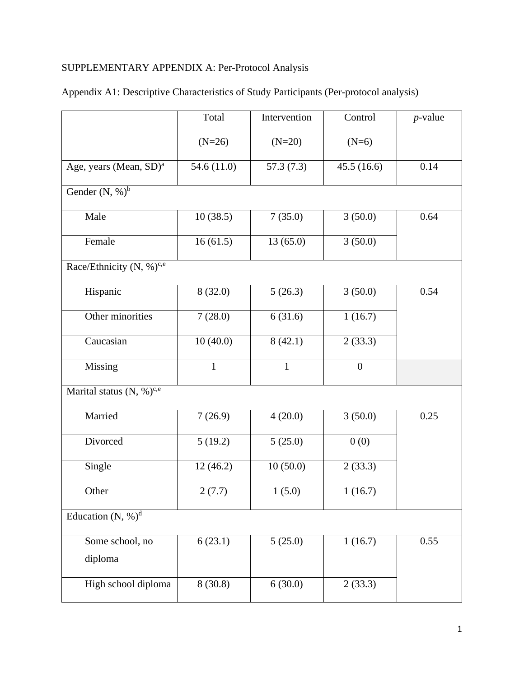## SUPPLEMENTARY APPENDIX A: Per-Protocol Analysis

|                                         | Total        | Intervention | Control          | $p$ -value |
|-----------------------------------------|--------------|--------------|------------------|------------|
|                                         | $(N=26)$     | $(N=20)$     | $(N=6)$          |            |
| Age, years (Mean, SD) <sup>a</sup>      | 54.6 (11.0)  | 57.3(7.3)    | 45.5(16.6)       | 0.14       |
| Gender $(N, %)^b$                       |              |              |                  |            |
| Male                                    | 10(38.5)     | 7(35.0)      | 3(50.0)          | 0.64       |
| Female                                  | 16(61.5)     | 13(65.0)     | 3(50.0)          |            |
| Race/Ethnicity $(N, \mathcal{C})^{c,e}$ |              |              |                  |            |
| Hispanic                                | 8(32.0)      | 5(26.3)      | 3(50.0)          | 0.54       |
| Other minorities                        | 7(28.0)      | 6(31.6)      | 1(16.7)          |            |
| Caucasian                               | 10(40.0)     | 8(42.1)      | 2(33.3)          |            |
| <b>Missing</b>                          | $\mathbf{1}$ | $\mathbf{1}$ | $\boldsymbol{0}$ |            |
| Marital status $(N, %)^{c,e}$           |              |              |                  |            |
| Married                                 | 7(26.9)      | 4(20.0)      | 3(50.0)          | 0.25       |
| Divorced                                | 5(19.2)      | 5(25.0)      | 0(0)             |            |
| Single                                  | 12(46.2)     | 10(50.0)     | 2(33.3)          |            |
| Other                                   | 2(7.7)       | 1(5.0)       | 1(16.7)          |            |
| Education $(N, %)^d$                    |              |              |                  |            |
| Some school, no                         | 6(23.1)      | 5(25.0)      | 1(16.7)          | 0.55       |
| diploma                                 |              |              |                  |            |
| High school diploma                     | 8(30.8)      | 6(30.0)      | 2(33.3)          |            |

## Appendix A1: Descriptive Characteristics of Study Participants (Per-protocol analysis)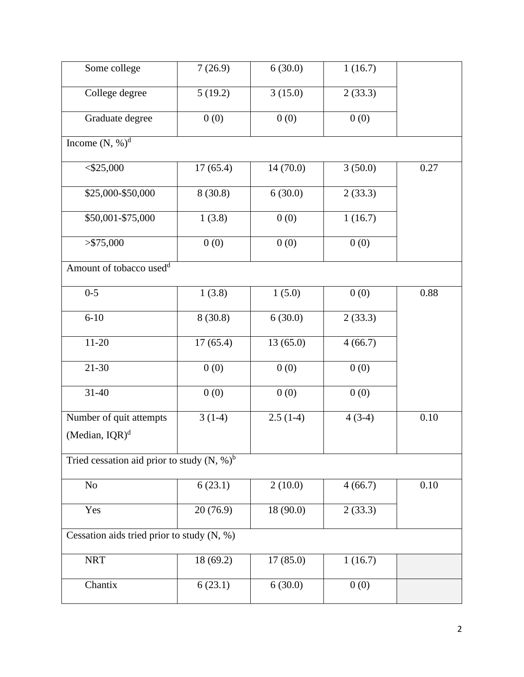| Some college                                  | 7(26.9)   | 6(30.0)    | 1(16.7)  |          |
|-----------------------------------------------|-----------|------------|----------|----------|
| College degree                                | 5(19.2)   | 3(15.0)    | 2(33.3)  |          |
| Graduate degree                               | 0(0)      | 0(0)       | 0(0)     |          |
| Income $(N, %)^d$                             |           |            |          |          |
| $<$ \$25,000                                  | 17(65.4)  | 14(70.0)   | 3(50.0)  | 0.27     |
| \$25,000-\$50,000                             | 8(30.8)   | 6(30.0)    | 2(33.3)  |          |
| \$50,001-\$75,000                             | 1(3.8)    | 0(0)       | 1(16.7)  |          |
| > \$75,000                                    | 0(0)      | 0(0)       | 0(0)     |          |
| Amount of tobacco used <sup>d</sup>           |           |            |          |          |
| $0 - 5$                                       | 1(3.8)    | 1(5.0)     | 0(0)     | 0.88     |
| $6 - 10$                                      | 8(30.8)   | 6(30.0)    | 2(33.3)  |          |
| $11-20$                                       | 17(65.4)  | 13(65.0)   | 4(66.7)  |          |
| $21 - 30$                                     | 0(0)      | 0(0)       | 0(0)     |          |
| $31 - 40$                                     | 0(0)      | 0(0)       | 0(0)     |          |
| Number of quit attempts                       | $3(1-4)$  | $2.5(1-4)$ | $4(3-4)$ | $0.10\,$ |
| (Median, $IQR$ ) <sup>d</sup>                 |           |            |          |          |
| Tried cessation aid prior to study $(N, %)^b$ |           |            |          |          |
| No                                            | 6(23.1)   | 2(10.0)    | 4(66.7)  | 0.10     |
| Yes                                           | 20(76.9)  | 18 (90.0)  | 2(33.3)  |          |
| Cessation aids tried prior to study $(N, %)$  |           |            |          |          |
| <b>NRT</b>                                    | 18 (69.2) | 17(85.0)   | 1(16.7)  |          |
| Chantix                                       | 6(23.1)   | 6(30.0)    | 0(0)     |          |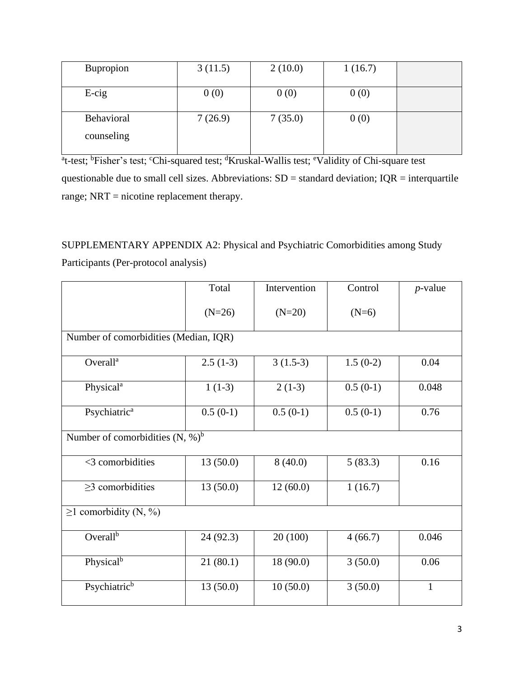| Bupropion  | 3(11.5) | 2(10.0) | 1(16.7) |  |
|------------|---------|---------|---------|--|
| E-cig      | 0(0)    | 0(0)    | 0(0)    |  |
|            |         |         |         |  |
| Behavioral | 7(26.9) | 7(35.0) | 0(0)    |  |
| counseling |         |         |         |  |
|            |         |         |         |  |

<sup>a</sup>t-test; <sup>b</sup>Fisher's test; <sup>c</sup>Chi-squared test; <sup>d</sup>Kruskal-Wallis test; <sup>e</sup>Validity of Chi-square test questionable due to small cell sizes. Abbreviations:  $SD =$  standard deviation;  $IQR =$  interquartile range; NRT = nicotine replacement therapy.

SUPPLEMENTARY APPENDIX A2: Physical and Psychiatric Comorbidities among Study Participants (Per-protocol analysis)

|                                       | Total      | Intervention | Control    | $p$ -value   |
|---------------------------------------|------------|--------------|------------|--------------|
|                                       | $(N=26)$   | $(N=20)$     | $(N=6)$    |              |
| Number of comorbidities (Median, IQR) |            |              |            |              |
| Overall <sup>a</sup>                  | $2.5(1-3)$ | $3(1.5-3)$   | $1.5(0-2)$ | 0.04         |
| Physical <sup>a</sup>                 | $1(1-3)$   | $2(1-3)$     | $0.5(0-1)$ | 0.048        |
| Psychiatric <sup>a</sup>              | $0.5(0-1)$ | $0.5(0-1)$   | $0.5(0-1)$ | 0.76         |
| Number of comorbidities $(N, %)^b$    |            |              |            |              |
| $<$ 3 comorbidities                   | 13(50.0)   | 8(40.0)      | 5(83.3)    | 0.16         |
| $\geq$ 3 comorbidities                | 13(50.0)   | 12(60.0)     | 1(16.7)    |              |
| $\geq$ 1 comorbidity (N, %)           |            |              |            |              |
| Overall <sup>b</sup>                  | 24(92.3)   | 20(100)      | 4(66.7)    | 0.046        |
| Physical <sup>b</sup>                 | 21(80.1)   | 18 (90.0)    | 3(50.0)    | 0.06         |
| Psychiatric <sup>b</sup>              | 13(50.0)   | 10(50.0)     | 3(50.0)    | $\mathbf{1}$ |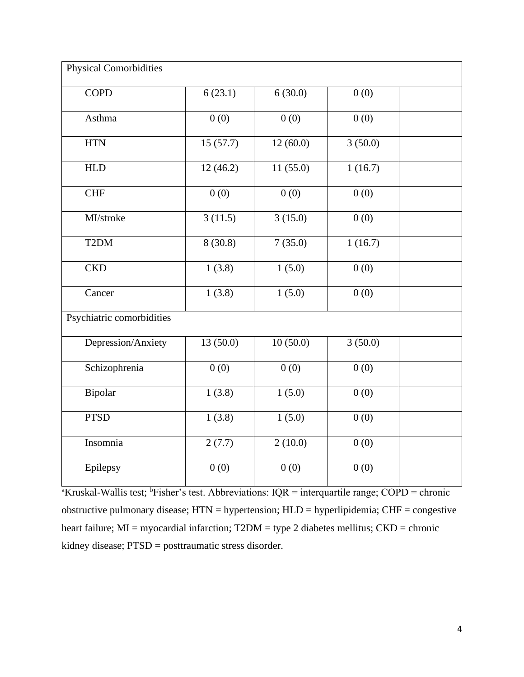| <b>Physical Comorbidities</b> |                   |                   |                   |  |
|-------------------------------|-------------------|-------------------|-------------------|--|
| <b>COPD</b>                   | 6(23.1)           | 6(30.0)           | 0(0)              |  |
| Asthma                        | 0(0)              | $\overline{0(0)}$ | $\overline{0(0)}$ |  |
| $\operatorname{HTN}$          | 15(57.7)          | 12(60.0)          | 3(50.0)           |  |
| HLD                           | 12(46.2)          | 11(55.0)          | 1(16.7)           |  |
| <b>CHF</b>                    | $\overline{0(0)}$ | 0(0)              | 0(0)              |  |
| MI/stroke                     | 3(11.5)           | 3(15.0)           | 0(0)              |  |
| T <sub>2</sub> DM             | 8(30.8)           | 7(35.0)           | 1(16.7)           |  |
| <b>CKD</b>                    | 1(3.8)            | 1(5.0)            | 0(0)              |  |
| Cancer                        | 1(3.8)            | 1(5.0)            | 0(0)              |  |
| Psychiatric comorbidities     |                   |                   |                   |  |
| Depression/Anxiety            | 13(50.0)          | 10(50.0)          | 3(50.0)           |  |
| Schizophrenia                 | 0(0)              | 0(0)              | 0(0)              |  |
| Bipolar                       | 1(3.8)            | 1(5.0)            | 0(0)              |  |
| <b>PTSD</b>                   | 1(3.8)            | 1(5.0)            | 0(0)              |  |
| Insomnia                      | 2(7.7)            | 2(10.0)           | 0(0)              |  |
| Epilepsy                      | 0(0)              | 0(0)              | 0(0)              |  |

<sup>a</sup>Kruskal-Wallis test; <sup>b</sup>Fisher's test. Abbreviations:  $IQR =$  interquartile range;  $COPD =$  chronic obstructive pulmonary disease; HTN = hypertension; HLD = hyperlipidemia; CHF = congestive heart failure; MI = myocardial infarction; T2DM = type 2 diabetes mellitus; CKD = chronic kidney disease; PTSD = posttraumatic stress disorder.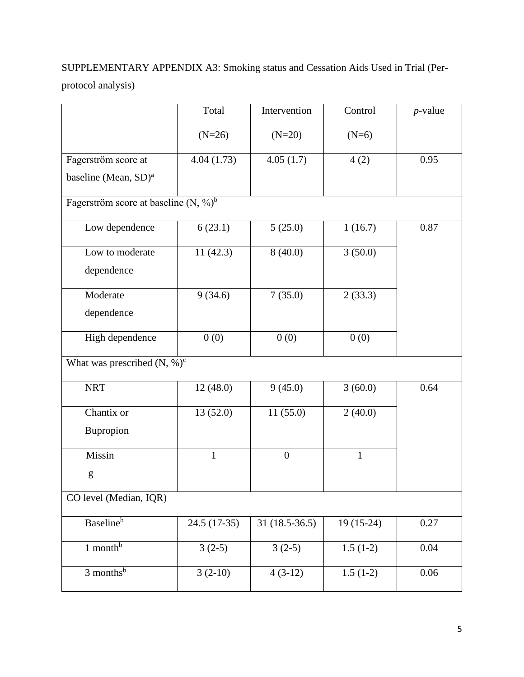# SUPPLEMENTARY APPENDIX A3: Smoking status and Cessation Aids Used in Trial (Per-

#### protocol analysis)

|                                         | Total         | Intervention     | Control      | $p$ -value |
|-----------------------------------------|---------------|------------------|--------------|------------|
|                                         | $(N=26)$      | $(N=20)$         | $(N=6)$      |            |
| Fagerström score at                     | 4.04(1.73)    | 4.05(1.7)        | 4(2)         | 0.95       |
| baseline (Mean, SD) <sup>a</sup>        |               |                  |              |            |
| Fagerström score at baseline $(N, %)^b$ |               |                  |              |            |
| Low dependence                          | 6(23.1)       | 5(25.0)          | 1(16.7)      | 0.87       |
| Low to moderate<br>dependence           | 11(42.3)      | 8(40.0)          | 3(50.0)      |            |
| Moderate<br>dependence                  | 9(34.6)       | 7(35.0)          | 2(33.3)      |            |
| High dependence                         | 0(0)          | 0(0)             | 0(0)         |            |
| What was prescribed $(N, %)^c$          |               |                  |              |            |
| <b>NRT</b>                              | 12(48.0)      | 9(45.0)          | 3(60.0)      | 0.64       |
| Chantix or                              | 13(52.0)      | 11(55.0)         | 2(40.0)      |            |
| Bupropion                               |               |                  |              |            |
| Missin                                  | $\mathbf{1}$  | $\boldsymbol{0}$ | $\mathbf{1}$ |            |
| $\mathbf{g}$                            |               |                  |              |            |
| CO level (Median, IQR)                  |               |                  |              |            |
| <b>Baseline</b> <sup>b</sup>            | $24.5(17-35)$ | $31(18.5-36.5)$  | 19 (15-24)   | 0.27       |
| $1$ month <sup>b</sup>                  | $3(2-5)$      | $3(2-5)$         | $1.5(1-2)$   | $0.04\,$   |
| $3$ months <sup>b</sup>                 | $3(2-10)$     | $4(3-12)$        | $1.5(1-2)$   | $0.06\,$   |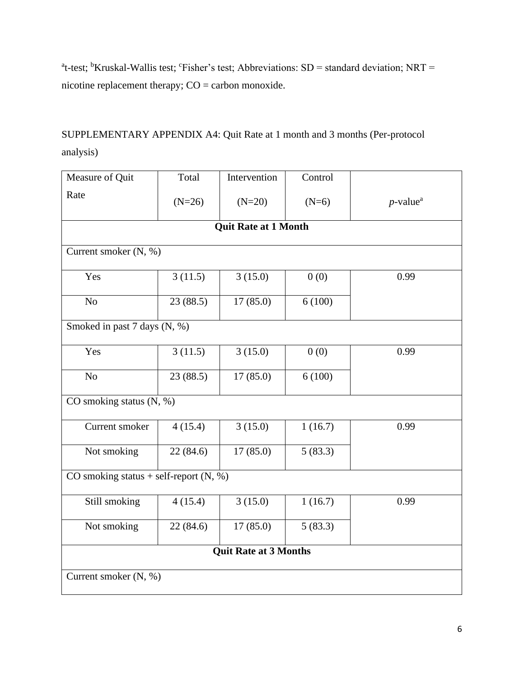<sup>a</sup>t-test; <sup>b</sup>Kruskal-Wallis test; <sup>c</sup>Fisher's test; Abbreviations: SD = standard deviation; NRT = nicotine replacement therapy; CO = carbon monoxide.

SUPPLEMENTARY APPENDIX A4: Quit Rate at 1 month and 3 months (Per-protocol analysis)

| Measure of Quit                          | Total                       | Intervention | Control |                         |  |  |  |  |
|------------------------------------------|-----------------------------|--------------|---------|-------------------------|--|--|--|--|
| Rate                                     | $(N=26)$                    | $(N=20)$     | $(N=6)$ | $p$ -value <sup>a</sup> |  |  |  |  |
|                                          | <b>Quit Rate at 1 Month</b> |              |         |                         |  |  |  |  |
| Current smoker (N, %)                    |                             |              |         |                         |  |  |  |  |
| Yes                                      | 3(11.5)                     | 3(15.0)      | 0(0)    | 0.99                    |  |  |  |  |
| N <sub>o</sub>                           | 23(88.5)                    | 17(85.0)     | 6(100)  |                         |  |  |  |  |
| Smoked in past 7 days (N, %)             |                             |              |         |                         |  |  |  |  |
| Yes                                      | 3(11.5)                     | 3(15.0)      | 0(0)    | 0.99                    |  |  |  |  |
| No                                       | 23(88.5)                    | 17(85.0)     | 6(100)  |                         |  |  |  |  |
| CO smoking status (N, %)                 |                             |              |         |                         |  |  |  |  |
| Current smoker                           | 4(15.4)                     | 3(15.0)      | 1(16.7) | 0.99                    |  |  |  |  |
| Not smoking                              | 22(84.6)                    | 17(85.0)     | 5(83.3) |                         |  |  |  |  |
| CO smoking status + self-report $(N, %)$ |                             |              |         |                         |  |  |  |  |
| Still smoking                            | 4(15.4)                     | 3(15.0)      | 1(16.7) | 0.99                    |  |  |  |  |
| Not smoking                              | 22(84.6)                    | 17(85.0)     | 5(83.3) |                         |  |  |  |  |
| <b>Quit Rate at 3 Months</b>             |                             |              |         |                         |  |  |  |  |
| Current smoker (N, %)                    |                             |              |         |                         |  |  |  |  |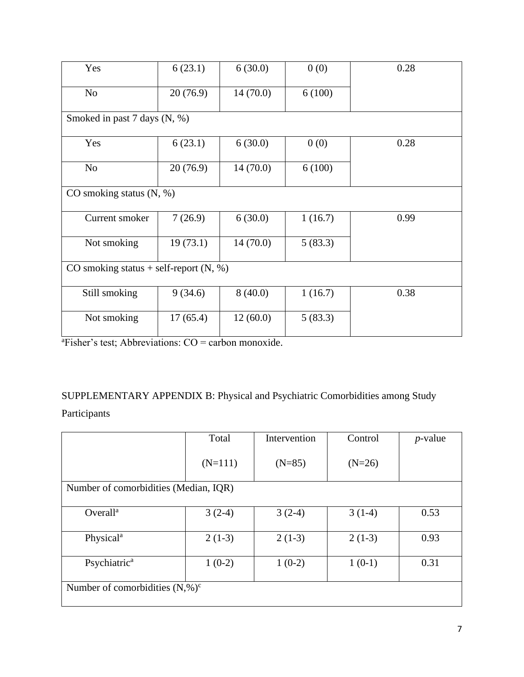| Yes                                      | 6(23.1)  | 6(30.0)  | 0(0)    | 0.28 |
|------------------------------------------|----------|----------|---------|------|
| N <sub>o</sub>                           | 20(76.9) | 14(70.0) | 6(100)  |      |
| Smoked in past 7 days (N, %)             |          |          |         |      |
| Yes                                      | 6(23.1)  | 6(30.0)  | 0(0)    | 0.28 |
| N <sub>o</sub>                           | 20(76.9) | 14(70.0) | 6(100)  |      |
| CO smoking status $(N, %)$               |          |          |         |      |
| Current smoker                           | 7(26.9)  | 6(30.0)  | 1(16.7) | 0.99 |
| Not smoking                              | 19(73.1) | 14(70.0) | 5(83.3) |      |
| CO smoking status $+$ self-report (N, %) |          |          |         |      |
| Still smoking                            | 9(34.6)  | 8(40.0)  | 1(16.7) | 0.38 |
| Not smoking                              | 17(65.4) | 12(60.0) | 5(83.3) |      |

<sup>a</sup>Fisher's test; Abbreviations: CO = carbon monoxide.

# SUPPLEMENTARY APPENDIX B: Physical and Psychiatric Comorbidities among Study

### Participants

|                                       | Total     | Intervention | Control  | $p$ -value |  |  |
|---------------------------------------|-----------|--------------|----------|------------|--|--|
|                                       | $(N=111)$ | $(N=85)$     | $(N=26)$ |            |  |  |
| Number of comorbidities (Median, IQR) |           |              |          |            |  |  |
|                                       |           |              |          |            |  |  |
| Overall <sup>a</sup>                  | $3(2-4)$  | $3(2-4)$     | $3(1-4)$ | 0.53       |  |  |
|                                       |           |              |          |            |  |  |
| Physical <sup>a</sup>                 | $2(1-3)$  | $2(1-3)$     | $2(1-3)$ | 0.93       |  |  |
|                                       |           |              |          |            |  |  |
| Psychiatric <sup>a</sup>              | $1(0-2)$  | $1(0-2)$     | $1(0-1)$ | 0.31       |  |  |
|                                       |           |              |          |            |  |  |
| Number of comorbidities $(N, \% )^c$  |           |              |          |            |  |  |
|                                       |           |              |          |            |  |  |
|                                       |           |              |          |            |  |  |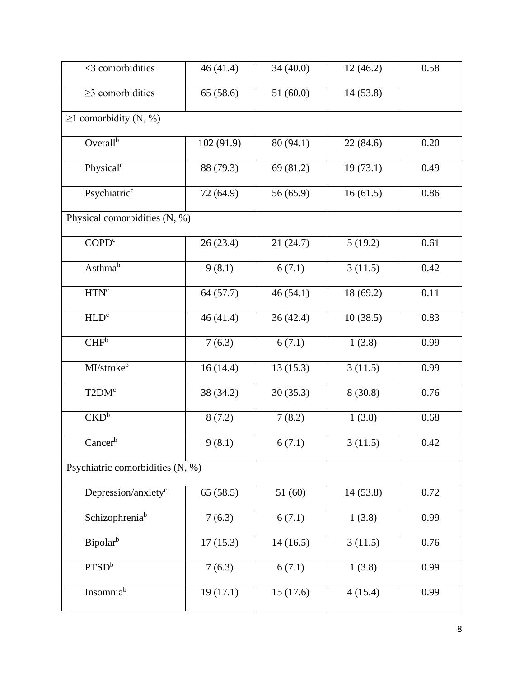| <3 comorbidities                 | 46 (41.4)  | 34 (40.0) | 12(46.2) | 0.58     |
|----------------------------------|------------|-----------|----------|----------|
| $\geq$ 3 comorbidities           | 65 (58.6)  | 51(60.0)  | 14(53.8) |          |
| $\geq$ 1 comorbidity (N, %)      |            |           |          |          |
| Overall <sup>b</sup>             | 102 (91.9) | 80(94.1)  | 22(84.6) | $0.20\,$ |
| Physical <sup>c</sup>            | 88 (79.3)  | 69 (81.2) | 19(73.1) | 0.49     |
| Psychiatric <sup>c</sup>         | 72 (64.9)  | 56 (65.9) | 16(61.5) | 0.86     |
| Physical comorbidities (N, %)    |            |           |          |          |
| COPD <sup>c</sup>                | 26(23.4)   | 21(24.7)  | 5(19.2)  | 0.61     |
| Asthma <sup>b</sup>              | 9(8.1)     | 6(7.1)    | 3(11.5)  | 0.42     |
| HTN <sup>c</sup>                 | 64(57.7)   | 46(54.1)  | 18(69.2) | 0.11     |
| HLD <sup>c</sup>                 | 46(41.4)   | 36(42.4)  | 10(38.5) | 0.83     |
| CHF <sup>b</sup>                 | 7(6.3)     | 6(7.1)    | 1(3.8)   | 0.99     |
| MI/stroke <sup>b</sup>           | 16(14.4)   | 13(15.3)  | 3(11.5)  | 0.99     |
| T2DM <sup>c</sup>                | 38 (34.2)  | 30(35.3)  | 8(30.8)  | 0.76     |
| CKD <sup>b</sup>                 | 8(7.2)     | 7(8.2)    | 1(3.8)   | 0.68     |
| Cancer <sup>b</sup>              | 9(8.1)     | 6(7.1)    | 3(11.5)  | 0.42     |
| Psychiatric comorbidities (N, %) |            |           |          |          |
| Depression/anxiety <sup>c</sup>  | 65(58.5)   | 51(60)    | 14(53.8) | 0.72     |
| Schizophrenia <sup>b</sup>       | 7(6.3)     | 6(7.1)    | 1(3.8)   | 0.99     |
| Bipolar <sup>b</sup>             | 17(15.3)   | 14(16.5)  | 3(11.5)  | 0.76     |
| PTSD <sup>b</sup>                | 7(6.3)     | 6(7.1)    | 1(3.8)   | 0.99     |
| Insomnia <sup>b</sup>            | 19(17.1)   | 15(17.6)  | 4(15.4)  | 0.99     |